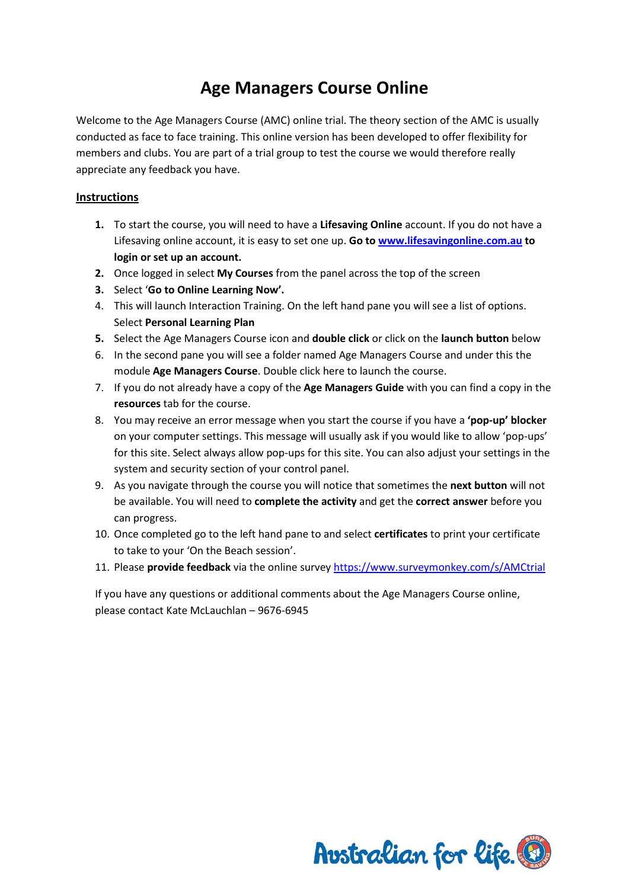## **Age Managers Course Online**

Welcome to the Age Managers Course (AMC) online trial. The theory section of the AMC is usually conducted as face to face training. This online version has been developed to offer flexibility for members and clubs. You are part of a trial group to test the course we would therefore really appreciate any feedback you have.

## **Instructions**

- **1.** To start the course, you will need to have a **Lifesaving Online** account. If you do not have a Lifesaving online account, it is easy to set one up. **Go to [www.lifesavingonline.com.au](http://www.lifesavingonline.com.au/) to login or set up an account.**
- **2.** Once logged in select **My Courses** from the panel across the top of the screen
- **3.** Select '**Go to Online Learning Now'.**
- 4. This will launch Interaction Training. On the left hand pane you will see a list of options. Select **Personal Learning Plan**
- **5.** Select the Age Managers Course icon and **double click** or click on the **launch button** below
- 6. In the second pane you will see a folder named Age Managers Course and under this the module **Age Managers Course**. Double click here to launch the course.
- 7. If you do not already have a copy of the **Age Managers Guide** with you can find a copy in the **resources** tab for the course.
- 8. You may receive an error message when you start the course if you have a **'pop-up' blocker** on your computer settings. This message will usually ask if you would like to allow 'pop-ups' for this site. Select always allow pop-ups for this site. You can also adjust your settings in the system and security section of your control panel.
- 9. As you navigate through the course you will notice that sometimes the **next button** will not be available. You will need to **complete the activity** and get the **correct answer** before you can progress.
- 10. Once completed go to the left hand pane to and select **certificates** to print your certificate to take to your 'On the Beach session'.
- 11. Please **provide feedback** via the online survey<https://www.surveymonkey.com/s/AMCtrial>

If you have any questions or additional comments about the Age Managers Course online, please contact Kate McLauchlan – 9676-6945

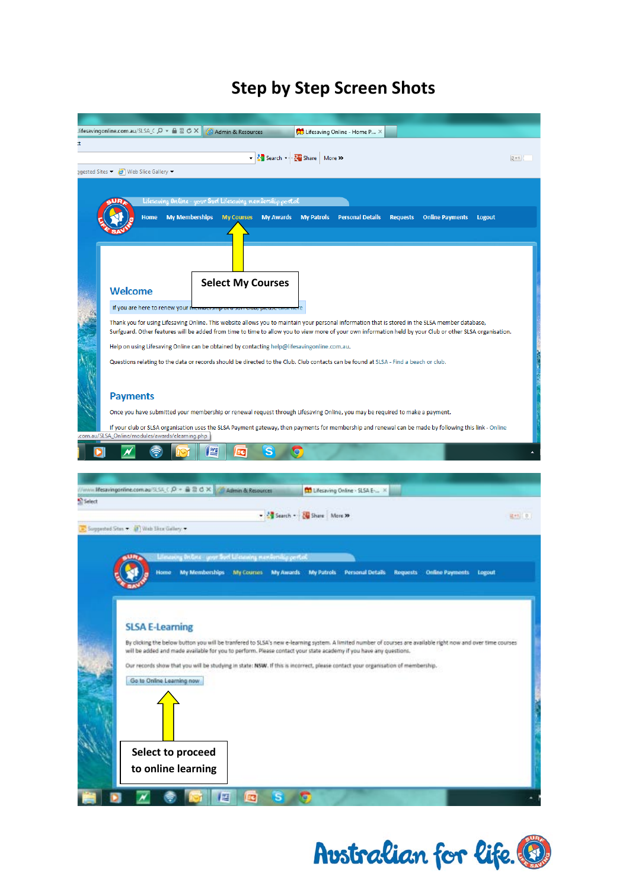## **Step by Step Screen Shots**

|        | Jifesavingonline.com.au/SLSA_C Q ▼ △ 図 ♂ ×<br>Lifesaving Online - Home P X<br>Admin & Resources                                                                                             |  |
|--------|---------------------------------------------------------------------------------------------------------------------------------------------------------------------------------------------|--|
| t.     |                                                                                                                                                                                             |  |
|        | Search - Share More >><br>又+1                                                                                                                                                               |  |
|        | ggested Sites • <b>@</b> Web Slice Gallery •                                                                                                                                                |  |
|        |                                                                                                                                                                                             |  |
|        |                                                                                                                                                                                             |  |
|        | Lifesaving Online - your Surf Lifesaving membership portal                                                                                                                                  |  |
|        | <b>Home</b><br><b>My Memberships</b><br><b>My Courses</b><br><b>My Awards</b><br><b>My Patrols</b><br><b>Personal Details</b><br><b>Requests</b><br><b>Online Payments</b><br><b>Logout</b> |  |
|        |                                                                                                                                                                                             |  |
|        |                                                                                                                                                                                             |  |
|        |                                                                                                                                                                                             |  |
|        |                                                                                                                                                                                             |  |
|        |                                                                                                                                                                                             |  |
|        | <b>Select My Courses</b><br>Welcome                                                                                                                                                         |  |
|        |                                                                                                                                                                                             |  |
|        | If you are here to renew your no                                                                                                                                                            |  |
|        | Thank you for using Lifesaving Online. This website allows you to maintain your personal information that is stored in the SLSA member database,                                            |  |
|        | Surfguard. Other features will be added from time to time to allow you to view more of your own information held by your Club or other SLSA organisation.                                   |  |
|        | Help on using Lifesaving Online can be obtained by contacting help@lifesavingonline.com.au.                                                                                                 |  |
|        | Questions relating to the data or records should be directed to the Club. Club contacts can be found at SLSA - Find a beach or club.                                                        |  |
|        |                                                                                                                                                                                             |  |
|        |                                                                                                                                                                                             |  |
|        | <b>Payments</b>                                                                                                                                                                             |  |
|        | Once you have submitted your membership or renewal request through Lifesaving Online, you may be required to make a payment.                                                                |  |
|        | If your club or SLSA organisation uses the SLSA Payment gateway, then payments for membership and renewal can be made by following this link - Online                                       |  |
|        | .com.au/SLSA_Online/modules/awards/elearning.php                                                                                                                                            |  |
|        | WE                                                                                                                                                                                          |  |
|        |                                                                                                                                                                                             |  |
|        |                                                                                                                                                                                             |  |
|        | //invis Mesavingonline.com.au/SLSA_C .Q + 最显 O X<br>- Admin & Resources<br>Lifesaving Online . SLSA En. X                                                                                   |  |
| Select |                                                                                                                                                                                             |  |
|        | Search - No Share More 29<br>は+5 0.1                                                                                                                                                        |  |
|        | > Suggested Sites > (2) Web Site Gallery >                                                                                                                                                  |  |
|        |                                                                                                                                                                                             |  |
|        |                                                                                                                                                                                             |  |
|        | Libratory Inform your Surf Libratory membersity period                                                                                                                                      |  |
|        | Personal Details<br><b>My Memberships</b><br>My Courses<br><b>My Patrols</b><br>Requests<br><b>Online Payments</b><br>Logout<br>Home<br><b>My Awards</b>                                    |  |
|        |                                                                                                                                                                                             |  |
|        |                                                                                                                                                                                             |  |
|        |                                                                                                                                                                                             |  |
|        | <b>SLSA E-Learning</b>                                                                                                                                                                      |  |
|        | By clicking the below button you will be tranfered to SLSA's new e-learning system. A limited number of courses are available right now and over time courses                               |  |
|        | will be added and made available for you to perform. Please contact your state academy if you have any questions.                                                                           |  |
|        | Our records show that you will be studying in state: NSW. If this is incorrect, please contact your organisation of membership.                                                             |  |
|        |                                                                                                                                                                                             |  |
|        | Go to Online Learning now                                                                                                                                                                   |  |
|        |                                                                                                                                                                                             |  |
|        |                                                                                                                                                                                             |  |
|        |                                                                                                                                                                                             |  |
|        |                                                                                                                                                                                             |  |
|        |                                                                                                                                                                                             |  |
|        | Select to proceed                                                                                                                                                                           |  |
|        | to online learning                                                                                                                                                                          |  |
|        |                                                                                                                                                                                             |  |
|        |                                                                                                                                                                                             |  |

Australian for life.